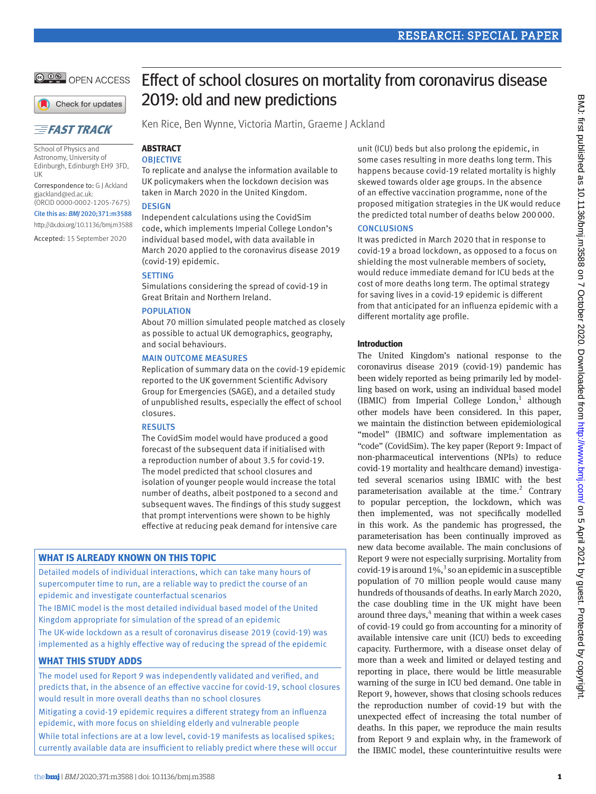**@ 0 @** OPEN ACCESS

# Check for updates

# **EFAST TRACK**

School of Physics and Astronomy, University of Edinburgh, Edinburgh EH9 3FD, UK

Correspondence to: G J Ackland [gjackland@ed.ac.uk:](mailto:gjackland@ed.ac.uk)

(ORCID [0000-0002-1205-7675\)](https://orcid.org/0000-0002-1205-7675) Cite this as: *BMJ* 2020;371:m3588

http://dx.doi.org/10.1136/bmj.m3588

Accepted: 15 September 2020

# Effect of school closures on mortality from coronavirus disease 2019: old and new predictions

Ken Rice, Ben Wynne, Victoria Martin, Graeme J Ackland

### **Abstract OBJECTIVE**

To replicate and analyse the information available to UK policymakers when the lockdown decision was taken in March 2020 in the United Kingdom.

# **DESIGN**

Independent calculations using the CovidSim code, which implements Imperial College London's individual based model, with data available in March 2020 applied to the coronavirus disease 2019 (covid-19) epidemic.

# **SETTING**

Simulations considering the spread of covid-19 in Great Britain and Northern Ireland.

# Population

About 70 million simulated people matched as closely as possible to actual UK demographics, geography, and social behaviours.

## Main outcome measures

Replication of summary data on the covid-19 epidemic reported to the UK government Scientific Advisory Group for Emergencies (SAGE), and a detailed study of unpublished results, especially the effect of school closures.

## **RESULTS**

The CovidSim model would have produced a good forecast of the subsequent data if initialised with a reproduction number of about 3.5 for covid-19. The model predicted that school closures and isolation of younger people would increase the total number of deaths, albeit postponed to a second and subsequent waves. The findings of this study suggest that prompt interventions were shown to be highly effective at reducing peak demand for intensive care

# **What is already known on this topic**

Detailed models of individual interactions, which can take many hours of supercomputer time to run, are a reliable way to predict the course of an epidemic and investigate counterfactual scenarios

The IBMIC model is the most detailed individual based model of the United Kingdom appropriate for simulation of the spread of an epidemic

The UK-wide lockdown as a result of coronavirus disease 2019 (covid-19) was implemented as a highly effective way of reducing the spread of the epidemic

# **What this study adds**

The model used for Report 9 was independently validated and verified, and predicts that, in the absence of an effective vaccine for covid-19, school closures would result in more overall deaths than no school closures Mitigating a covid-19 epidemic requires a different strategy from an influenza epidemic, with more focus on shielding elderly and vulnerable people While total infections are at a low level, covid-19 manifests as localised spikes; currently available data are insufficient to reliably predict where these will occur

unit (ICU) beds but also prolong the epidemic, in some cases resulting in more deaths long term. This happens because covid-19 related mortality is highly skewed towards older age groups. In the absence of an effective vaccination programme, none of the proposed mitigation strategies in the UK would reduce the predicted total number of deaths below 200 000.

## **CONCLUSIONS**

It was predicted in March 2020 that in response to covid-19 a broad lockdown, as opposed to a focus on shielding the most vulnerable members of society, would reduce immediate demand for ICU beds at the cost of more deaths long term. The optimal strategy for saving lives in a covid-19 epidemic is different from that anticipated for an influenza epidemic with a different mortality age profile.

## **Introduction**

The United Kingdom's national response to the coronavirus disease 2019 (covid-19) pandemic has been widely reported as being primarily led by modelling based on work, using an individual based model (IBMIC) from Imperial College London, $<sup>1</sup>$  although</sup> other models have been considered. In this paper, we maintain the distinction between epidemiological "model" (IBMIC) and software implementation as "code" (CovidSim). The key paper (Report 9: Impact of non-pharmaceutical interventions (NPIs) to reduce covid-19 mortality and healthcare demand) investigated several scenarios using IBMIC with the best parameterisation available at the time. $2$  Contrary to popular perception, the lockdown, which was then implemented, was not specifically modelled in this work. As the pandemic has progressed, the parameterisation has been continually improved as new data become available. The main conclusions of Report 9 were not especially surprising. Mortality from covid-19 is around  $1\%$ ,<sup>3</sup> so an epidemic in a susceptible population of 70 million people would cause many hundreds of thousands of deaths. In early March 2020, the case doubling time in the UK might have been around three days,<sup>4</sup> meaning that within a week cases of covid-19 could go from accounting for a minority of available intensive care unit (ICU) beds to exceeding capacity. Furthermore, with a disease onset delay of more than a week and limited or delayed testing and reporting in place, there would be little measurable warning of the surge in ICU bed demand. One table in Report 9, however, shows that closing schools reduces the reproduction number of covid-19 but with the unexpected effect of increasing the total number of deaths. In this paper, we reproduce the main results from Report 9 and explain why, in the framework of the IBMIC model, these counterintuitive results were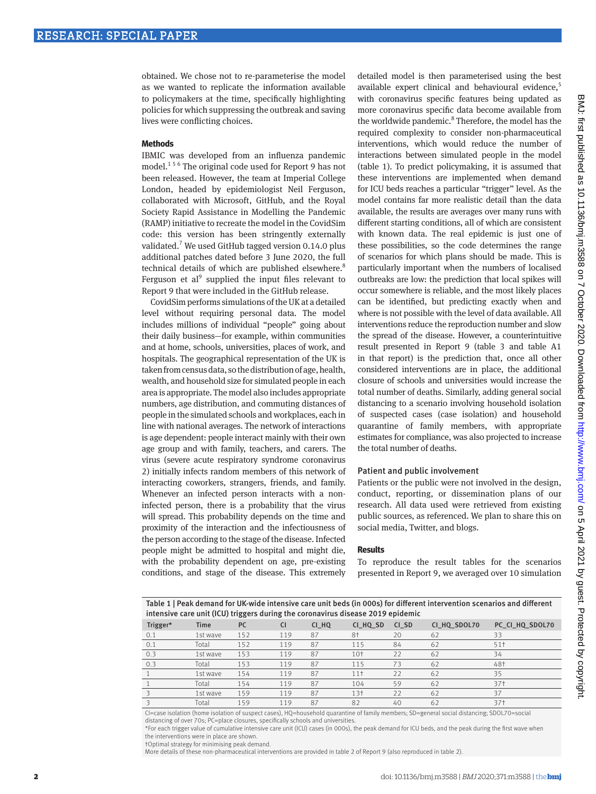obtained. We chose not to re-parameterise the model as we wanted to replicate the information available to policymakers at the time, specifically highlighting policies for which suppressing the outbreak and saving lives were conflicting choices.

### **Methods**

IBMIC was developed from an influenza pandemic model.<sup>156</sup> The original code used for Report 9 has not been released. However, the team at Imperial College London, headed by epidemiologist Neil Ferguson, collaborated with Microsoft, GitHub, and the Royal Society Rapid Assistance in Modelling the Pandemic (RAMP) initiative to recreate the model in the CovidSim code: this version has been stringently externally validated.<sup>7</sup> We used GitHub tagged version 0.14.0 plus additional patches dated before 3 June 2020, the full technical details of which are published elsewhere.<sup>8</sup> Ferguson et al $<sup>9</sup>$  supplied the input files relevant to</sup> Report 9 that were included in the GitHub release.

CovidSim performs simulations of the UK at a detailed level without requiring personal data. The model includes millions of individual "people" going about their daily business—for example, within communities and at home, schools, universities, places of work, and hospitals. The geographical representation of the UK is taken from census data, so the distribution of age, health, wealth, and household size for simulated people in each area is appropriate. The model also includes appropriate numbers, age distribution, and commuting distances of people in the simulated schools and workplaces, each in line with national averages. The network of interactions is age dependent: people interact mainly with their own age group and with family, teachers, and carers. The virus (severe acute respiratory syndrome coronavirus 2) initially infects random members of this network of interacting coworkers, strangers, friends, and family. Whenever an infected person interacts with a noninfected person, there is a probability that the virus will spread. This probability depends on the time and proximity of the interaction and the infectiousness of the person according to the stage of the disease. Infected people might be admitted to hospital and might die, with the probability dependent on age, pre-existing conditions, and stage of the disease. This extremely

detailed model is then parameterised using the best available expert clinical and behavioural evidence,<sup>5</sup> with coronavirus specific features being updated as more coronavirus specific data become available from the worldwide pandemic.<sup>8</sup> Therefore, the model has the required complexity to consider non-pharmaceutical interventions, which would reduce the number of interactions between simulated people in the model (table 1). To predict policymaking, it is assumed that these interventions are implemented when demand for ICU beds reaches a particular "trigger" level. As the model contains far more realistic detail than the data available, the results are averages over many runs with different starting conditions, all of which are consistent with known data. The real epidemic is just one of these possibilities, so the code determines the range of scenarios for which plans should be made. This is particularly important when the numbers of localised outbreaks are low: the prediction that local spikes will occur somewhere is reliable, and the most likely places can be identified, but predicting exactly when and where is not possible with the level of data available. All interventions reduce the reproduction number and slow the spread of the disease. However, a counterintuitive result presented in Report 9 (table 3 and table A1 in that report) is the prediction that, once all other considered interventions are in place, the additional closure of schools and universities would increase the total number of deaths. Similarly, adding general social distancing to a scenario involving household isolation of suspected cases (case isolation) and household quarantine of family members, with appropriate estimates for compliance, was also projected to increase the total number of deaths.

### Patient and public involvement

Patients or the public were not involved in the design, conduct, reporting, or dissemination plans of our research. All data used were retrieved from existing public sources, as referenced. We plan to share this on social media, Twitter, and blogs.

#### **Results**

To reproduce the result tables for the scenarios presented in Report 9, we averaged over 10 simulation

Table 1 | Peak demand for UK-wide intensive care unit beds (in 000s) for different intervention scenarios and different intensive care unit (ICU) triggers during the coronavirus disease 2019 epidemic

| Trigger* | <b>Time</b> | <b>PC</b> | <b>CI</b> | CI HQ | CI HQ SD        | CI SD | CI HQ SDOL70 | PC CI HQ SDOL70 |
|----------|-------------|-----------|-----------|-------|-----------------|-------|--------------|-----------------|
| 0.1      | 1st wave    | 152       | 119       | 87    | 8†              | 20    | 62           | 33              |
| 0.1      | Total       | 152       | 119       | 87    | 115             | 84    | 62           | 511             |
| 0.3      | 1st wave    | 153       | 119       | 87    | 10 <sup>†</sup> | 22    | 62           | 34              |
| 0.3      | Total       | 153       | 119       | 87    | 115             | 73    | 62           | 48†             |
|          | 1st wave    | 154       | 119       | 87    | 11 <sup>†</sup> | 22    | 62           | 35              |
|          | Total       | 154       | 119       | 87    | 104             | 59    | 62           | 37†             |
|          | 1st wave    | 159       | 119       | 87    | 13†             | 22    | 62           | 37              |
|          | Total       | 159       | 119       | 87    | 82              | 40    | 62           | 37†             |

CI=case isolation (home isolation of suspect cases), HQ=household quarantine of family members; SD=general social distancing; SDOL70=social distancing of over 70s; PC=place closures, specifically schools and universities.

\*For each trigger value of cumulative intensive care unit (ICU) cases (in 000s), the peak demand for ICU beds, and the peak during the first wave when the interventions were in place are shown.

†Optimal strategy for minimising peak demand.

More details of these non-pharmaceutical interventions are provided in table 2 of Report 9 (also reproduced in table 2).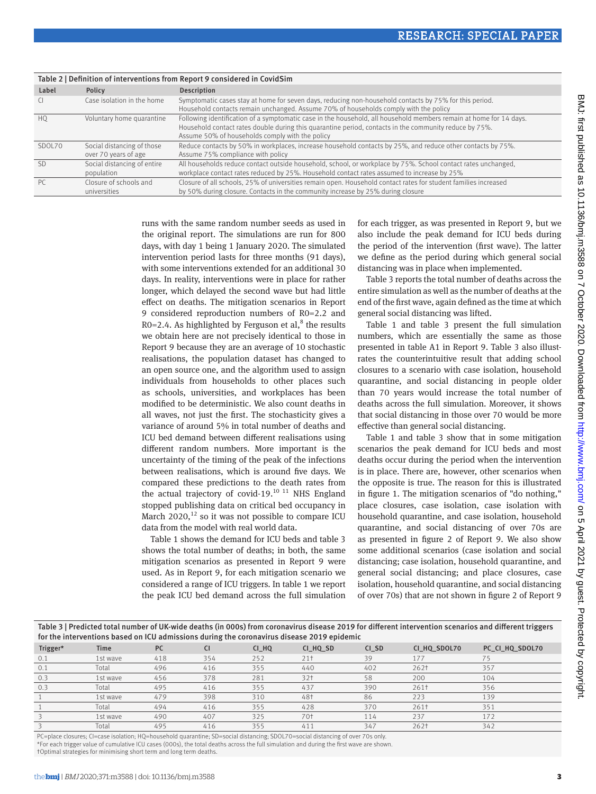| Label<br>Description<br>Policy                                                                                                                                                                                                                                                                                                 | Table 2   Definition of interventions from Report 9 considered in CovidSim |  |  |  |  |  |
|--------------------------------------------------------------------------------------------------------------------------------------------------------------------------------------------------------------------------------------------------------------------------------------------------------------------------------|----------------------------------------------------------------------------|--|--|--|--|--|
|                                                                                                                                                                                                                                                                                                                                |                                                                            |  |  |  |  |  |
| Symptomatic cases stay at home for seven days, reducing non-household contacts by 75% for this period.<br>C<br>Household contacts remain unchanged. Assume 70% of households comply with the policy                                                                                                                            | Case isolation in the home                                                 |  |  |  |  |  |
| Following identification of a symptomatic case in the household, all household members remain at home for 14 days.<br>Voluntary home quarantine<br>H <sub>O</sub><br>Household contact rates double during this quarantine period, contacts in the community reduce by 75%.<br>Assume 50% of households comply with the policy |                                                                            |  |  |  |  |  |
| Reduce contacts by 50% in workplaces, increase household contacts by 25%, and reduce other contacts by 75%.<br>Social distancing of those<br>SDOL70<br>Assume 75% compliance with policy<br>over 70 years of age                                                                                                               |                                                                            |  |  |  |  |  |
| All households reduce contact outside household, school, or workplace by 75%. School contact rates unchanged,<br><b>SD</b><br>Social distancing of entire<br>workplace contact rates reduced by 25%. Household contact rates assumed to increase by 25%<br>population                                                          |                                                                            |  |  |  |  |  |
| Closure of all schools, 25% of universities remain open. Household contact rates for student families increased<br>PC.<br>Closure of schools and<br>by 50% during closure. Contacts in the community increase by 25% during closure<br>universities                                                                            |                                                                            |  |  |  |  |  |

runs with the same random number seeds as used in the original report. The simulations are run for 800 days, with day 1 being 1 January 2020. The simulated intervention period lasts for three months (91 days), with some interventions extended for an additional 30 days. In reality, interventions were in place for rather longer, which delayed the second wave but had little effect on deaths. The mitigation scenarios in Report 9 considered reproduction numbers of R0=2.2 and  $R0=2.4$ . As highlighted by Ferguson et al,<sup>8</sup> the results we obtain here are not precisely identical to those in Report 9 because they are an average of 10 stochastic realisations, the population dataset has changed to an open source one, and the algorithm used to assign individuals from households to other places such as schools, universities, and workplaces has been modified to be deterministic. We also count deaths in all waves, not just the first. The stochasticity gives a variance of around 5% in total number of deaths and ICU bed demand between different realisations using different random numbers. More important is the uncertainty of the timing of the peak of the infections between realisations, which is around five days. We compared these predictions to the death rates from the actual trajectory of covid-19.<sup>10 11</sup> NHS England stopped publishing data on critical bed occupancy in March 2020, $^{12}$  so it was not possible to compare ICU data from the model with real world data.

Table 1 shows the demand for ICU beds and table 3 shows the total number of deaths; in both, the same mitigation scenarios as presented in Report 9 were used. As in Report 9, for each mitigation scenario we considered a range of ICU triggers. In table 1 we report the peak ICU bed demand across the full simulation for each trigger, as was presented in Report 9, but we also include the peak demand for ICU beds during the period of the intervention (first wave). The latter we define as the period during which general social distancing was in place when implemented.

Table 3 reports the total number of deaths across the entire simulation as well as the number of deaths at the end of the first wave, again defined as the time at which general social distancing was lifted.

Table 1 and table 3 present the full simulation numbers, which are essentially the same as those presented in table A1 in Report 9. Table 3 also illustrates the counterintuitive result that adding school closures to a scenario with case isolation, household quarantine, and social distancing in people older than 70 years would increase the total number of deaths across the full simulation. Moreover, it shows that social distancing in those over 70 would be more effective than general social distancing.

Table 1 and table 3 show that in some mitigation scenarios the peak demand for ICU beds and most deaths occur during the period when the intervention is in place. There are, however, other scenarios when the opposite is true. The reason for this is illustrated in figure 1. The mitigation scenarios of "do nothing," place closures, case isolation, case isolation with household quarantine, and case isolation, household quarantine, and social distancing of over 70s are as presented in figure 2 of Report 9. We also show some additional scenarios (case isolation and social distancing; case isolation, household quarantine, and general social distancing; and place closures, case isolation, household quarantine, and social distancing of over 70s) that are not shown in figure 2 of Report 9

| Table 3   Predicted total number of UK-wide deaths (in 000s) from coronavirus disease 2019 for different intervention scenarios and different triggers<br>for the interventions based on ICU admissions during the coronavirus disease 2019 epidemic |          |           |           |       |                 |       |                  |                 |  |
|------------------------------------------------------------------------------------------------------------------------------------------------------------------------------------------------------------------------------------------------------|----------|-----------|-----------|-------|-----------------|-------|------------------|-----------------|--|
| Trigger*                                                                                                                                                                                                                                             | Time     | <b>PC</b> | <b>CI</b> | CI HQ | CI HQ SD        | CI SD | CI HQ SDOL70     | PC CI HQ SDOL70 |  |
| 0.1                                                                                                                                                                                                                                                  | 1st wave | 418       | 354       | 252   | 21 <sup>†</sup> | 39    | 177              | 75              |  |
| 0.1                                                                                                                                                                                                                                                  | Total    | 496       | 416       | 355   | 440             | 402   | 262 <sup>†</sup> | 357             |  |
| 0.3                                                                                                                                                                                                                                                  | 1st wave | 456       | 378       | 281   | 32 <sub>1</sub> | 58    | 200              | 104             |  |
| 0.3                                                                                                                                                                                                                                                  | Total    | 495       | 416       | 355   | 437             | 390   | 261†             | 356             |  |
|                                                                                                                                                                                                                                                      | 1st wave | 479       | 398       | 310   | 48†             | 86    | 223              | 139             |  |
|                                                                                                                                                                                                                                                      | Total    | 494       | 416       | 355   | 428             | 370   | 261†             | 351             |  |
|                                                                                                                                                                                                                                                      | 1st wave | 490       | 407       | 325   | 70†             | 114   | 237              | 172             |  |
|                                                                                                                                                                                                                                                      | Total    | 495       | 416       | 355   | 411             | 347   | 262 <sup>†</sup> | 342             |  |

PC=place closures; CI=case isolation; HQ=household quarantine; SD=social distancing; SDOL70=social distancing of over 70s only. \*For each trigger value of cumulative ICU cases (000s), the total deaths across the full simulation and during the first wave are shown.

†Optimal strategies for minimising short term and long term deaths.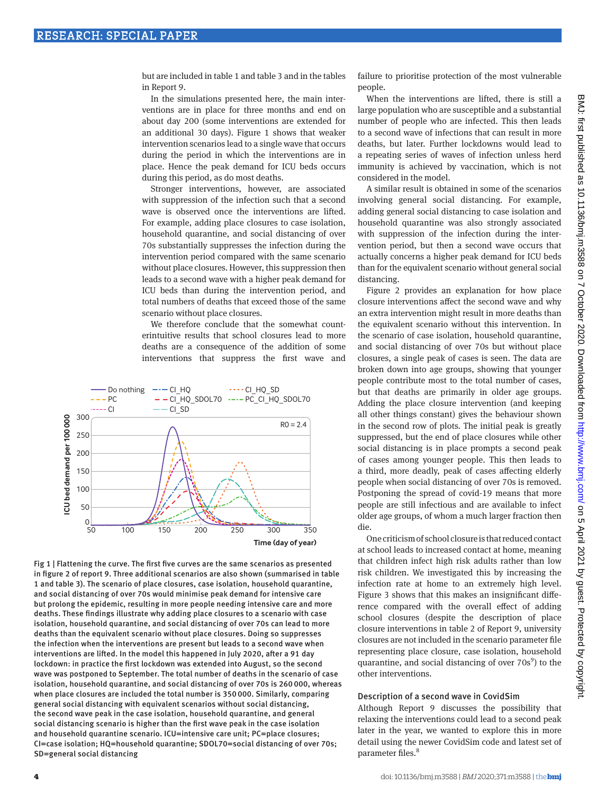but are included in table 1 and table 3 and in the tables in Report 9.

In the simulations presented here, the main interventions are in place for three months and end on about day 200 (some interventions are extended for an additional 30 days). Figure 1 shows that weaker intervention scenarios lead to a single wave that occurs during the period in which the interventions are in place. Hence the peak demand for ICU beds occurs during this period, as do most deaths.

Stronger interventions, however, are associated with suppression of the infection such that a second wave is observed once the interventions are lifted. For example, adding place closures to case isolation, household quarantine, and social distancing of over 70s substantially suppresses the infection during the intervention period compared with the same scenario without place closures. However, this suppression then leads to a second wave with a higher peak demand for ICU beds than during the intervention period, and total numbers of deaths that exceed those of the same scenario without place closures.

We therefore conclude that the somewhat counterintuitive results that school closures lead to more deaths are a consequence of the addition of some interventions that suppress the first wave and



Fig 1 | Flattening the curve. The first five curves are the same scenarios as presented in figure 2 of report 9. Three additional scenarios are also shown (summarised in table 1 and table 3). The scenario of place closures, case isolation, household quarantine, and social distancing of over 70s would minimise peak demand for intensive care but prolong the epidemic, resulting in more people needing intensive care and more deaths. These findings illustrate why adding place closures to a scenario with case isolation, household quarantine, and social distancing of over 70s can lead to more deaths than the equivalent scenario without place closures. Doing so suppresses the infection when the interventions are present but leads to a second wave when interventions are lifted. In the model this happened in July 2020, after a 91 day lockdown: in practice the first lockdown was extended into August, so the second wave was postponed to September. The total number of deaths in the scenario of case isolation, household quarantine, and social distancing of over 70s is 260 000, whereas when place closures are included the total number is 350 000. Similarly, comparing general social distancing with equivalent scenarios without social distancing, the second wave peak in the case isolation, household quarantine, and general social distancing scenario is higher than the first wave peak in the case isolation and household quarantine scenario. ICU=intensive care unit; PC=place closures; CI=case isolation; HQ=household quarantine; SDOL70=social distancing of over 70s; SD=general social distancing

failure to prioritise protection of the most vulnerable people.

When the interventions are lifted, there is still a large population who are susceptible and a substantial number of people who are infected. This then leads to a second wave of infections that can result in more deaths, but later. Further lockdowns would lead to a repeating series of waves of infection unless herd immunity is achieved by vaccination, which is not considered in the model.

A similar result is obtained in some of the scenarios involving general social distancing. For example, adding general social distancing to case isolation and household quarantine was also strongly associated with suppression of the infection during the intervention period, but then a second wave occurs that actually concerns a higher peak demand for ICU beds than for the equivalent scenario without general social distancing.

Figure 2 provides an explanation for how place closure interventions affect the second wave and why an extra intervention might result in more deaths than the equivalent scenario without this intervention. In the scenario of case isolation, household quarantine, and social distancing of over 70s but without place closures, a single peak of cases is seen. The data are broken down into age groups, showing that younger people contribute most to the total number of cases, but that deaths are primarily in older age groups. Adding the place closure intervention (and keeping all other things constant) gives the behaviour shown in the second row of plots. The initial peak is greatly suppressed, but the end of place closures while other social distancing is in place prompts a second peak of cases among younger people. This then leads to a third, more deadly, peak of cases affecting elderly people when social distancing of over 70s is removed. Postponing the spread of covid-19 means that more people are still infectious and are available to infect older age groups, of whom a much larger fraction then die.

One criticism of school closure is that reduced contact at school leads to increased contact at home, meaning that children infect high risk adults rather than low risk children. We investigated this by increasing the infection rate at home to an extremely high level. Figure 3 shows that this makes an insignificant difference compared with the overall effect of adding school closures (despite the description of place closure interventions in table 2 of Report 9, university closures are not included in the scenario parameter file representing place closure, case isolation, household quarantine, and social distancing of over  $70s<sup>9</sup>$ ) to the other interventions.

# Description of a second wave in CovidSim

Although Report 9 discusses the possibility that relaxing the interventions could lead to a second peak later in the year, we wanted to explore this in more detail using the newer CovidSim code and latest set of parameter files.<sup>8</sup>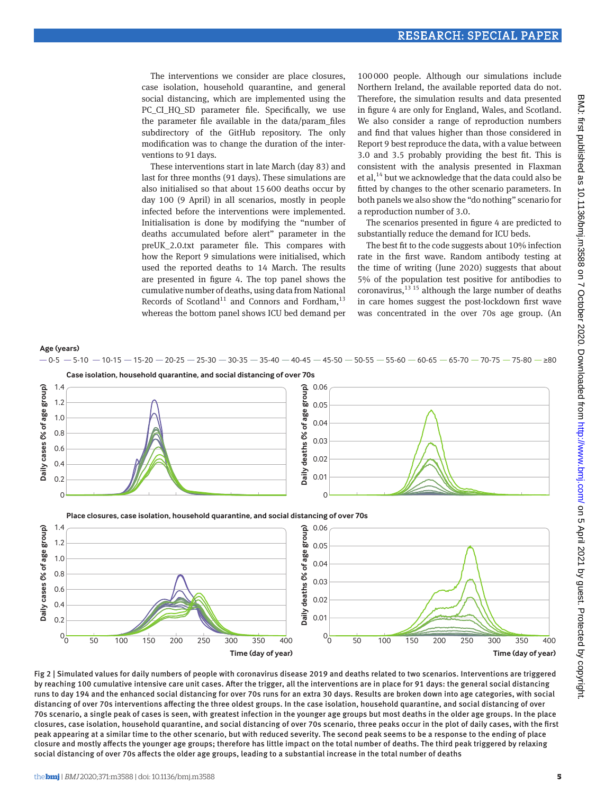The interventions we consider are place closures, case isolation, household quarantine, and general social distancing, which are implemented using the PC\_CI\_HQ\_SD parameter file. Specifically, we use the parameter file available in the data/param\_files subdirectory of the GitHub repository. The only modification was to change the duration of the interventions to 91 days.

These interventions start in late March (day 83) and last for three months (91 days). These simulations are also initialised so that about 15600 deaths occur by day 100 (9 April) in all scenarios, mostly in people infected before the interventions were implemented. Initialisation is done by modifying the "number of deaths accumulated before alert" parameter in the preUK\_2.0.txt parameter file. This compares with how the Report 9 simulations were initialised, which used the reported deaths to 14 March. The results are presented in figure 4. The top panel shows the cumulative number of deaths, using data from National Records of Scotland<sup>11</sup> and Connors and Fordham,<sup>13</sup> whereas the bottom panel shows ICU bed demand per

100000 people. Although our simulations include Northern Ireland, the available reported data do not. Therefore, the simulation results and data presented in figure 4 are only for England, Wales, and Scotland. We also consider a range of reproduction numbers and find that values higher than those considered in Report 9 best reproduce the data, with a value between 3.0 and 3.5 probably providing the best fit. This is consistent with the analysis presented in Flaxman et al,  $^{14}$  but we acknowledge that the data could also be fitted by changes to the other scenario parameters. In both panels we also show the "do nothing" scenario for a reproduction number of 3.0.

The scenarios presented in figure 4 are predicted to substantially reduce the demand for ICU beds.

The best fit to the code suggests about 10% infection rate in the first wave. Random antibody testing at the time of writing (June 2020) suggests that about 5% of the population test positive for antibodies to coronavirus,  $^{13}$  15 although the large number of deaths in care homes suggest the post-lockdown first wave was concentrated in the over 70s age group. (An



Fig 2 | Simulated values for daily numbers of people with coronavirus disease 2019 and deaths related to two scenarios. Interventions are triggered by reaching 100 cumulative intensive care unit cases. After the trigger, all the interventions are in place for 91 days: the general social distancing runs to day 194 and the enhanced social distancing for over 70s runs for an extra 30 days. Results are broken down into age categories, with social distancing of over 70s interventions affecting the three oldest groups. In the case isolation, household quarantine, and social distancing of over 70s scenario, a single peak of cases is seen, with greatest infection in the younger age groups but most deaths in the older age groups. In the place closures, case isolation, household quarantine, and social distancing of over 70s scenario, three peaks occur in the plot of daily cases, with the first peak appearing at a similar time to the other scenario, but with reduced severity. The second peak seems to be a response to the ending of place closure and mostly affects the younger age groups; therefore has little impact on the total number of deaths. The third peak triggered by relaxing social distancing of over 70s affects the older age groups, leading to a substantial increase in the total number of deaths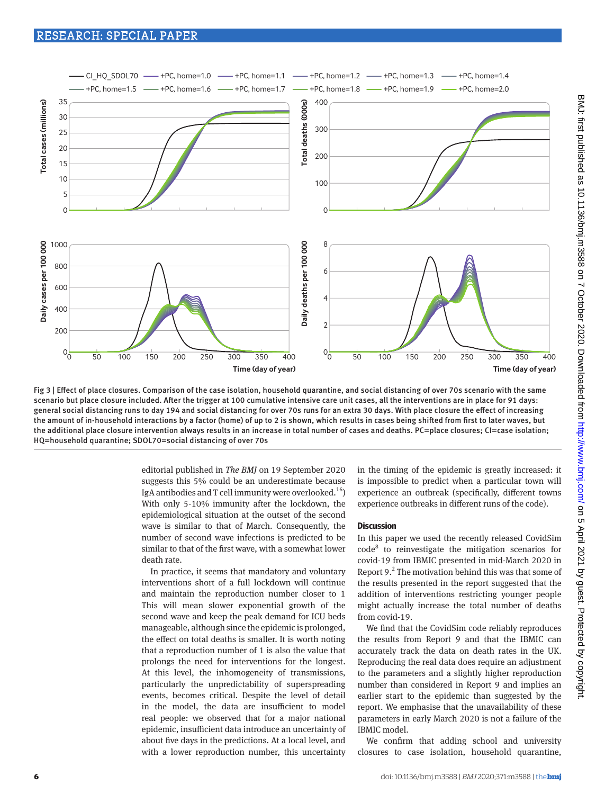

Fig 3 | Effect of place closures. Comparison of the case isolation, household quarantine, and social distancing of over 70s scenario with the same scenario but place closure included. After the trigger at 100 cumulative intensive care unit cases, all the interventions are in place for 91 days: general social distancing runs to day 194 and social distancing for over 70s runs for an extra 30 days. With place closure the effect of increasing the amount of in-household interactions by a factor (home) of up to 2 is shown, which results in cases being shifted from first to later waves, but the additional place closure intervention always results in an increase in total number of cases and deaths. PC=place closures; CI=case isolation; HQ=household quarantine; SDOL70=social distancing of over 70s

editorial published in *The BMJ* on 19 September 2020 suggests this 5% could be an underestimate because IgA antibodies and T cell immunity were overlooked.<sup>16</sup>) With only 5-10% immunity after the lockdown, the epidemiological situation at the outset of the second wave is similar to that of March. Consequently, the number of second wave infections is predicted to be similar to that of the first wave, with a somewhat lower death rate.

In practice, it seems that mandatory and voluntary interventions short of a full lockdown will continue and maintain the reproduction number closer to 1 This will mean slower exponential growth of the second wave and keep the peak demand for ICU beds manageable, although since the epidemic is prolonged, the effect on total deaths is smaller. It is worth noting that a reproduction number of 1 is also the value that prolongs the need for interventions for the longest. At this level, the inhomogeneity of transmissions, particularly the unpredictability of superspreading events, becomes critical. Despite the level of detail in the model, the data are insufficient to model real people: we observed that for a major national epidemic, insufficient data introduce an uncertainty of about five days in the predictions. At a local level, and with a lower reproduction number, this uncertainty in the timing of the epidemic is greatly increased: it is impossible to predict when a particular town will experience an outbreak (specifically, different towns experience outbreaks in different runs of the code).

#### **Discussion**

In this paper we used the recently released CovidSim code<sup>8</sup> to reinvestigate the mitigation scenarios for covid-19 from IBMIC presented in mid-March 2020 in Report  $9<sup>2</sup>$ . The motivation behind this was that some of the results presented in the report suggested that the addition of interventions restricting younger people might actually increase the total number of deaths from covid-19.

We find that the CovidSim code reliably reproduces the results from Report 9 and that the IBMIC can accurately track the data on death rates in the UK. Reproducing the real data does require an adjustment to the parameters and a slightly higher reproduction number than considered in Report 9 and implies an earlier start to the epidemic than suggested by the report. We emphasise that the unavailability of these parameters in early March 2020 is not a failure of the IBMIC model.

We confirm that adding school and university closures to case isolation, household quarantine,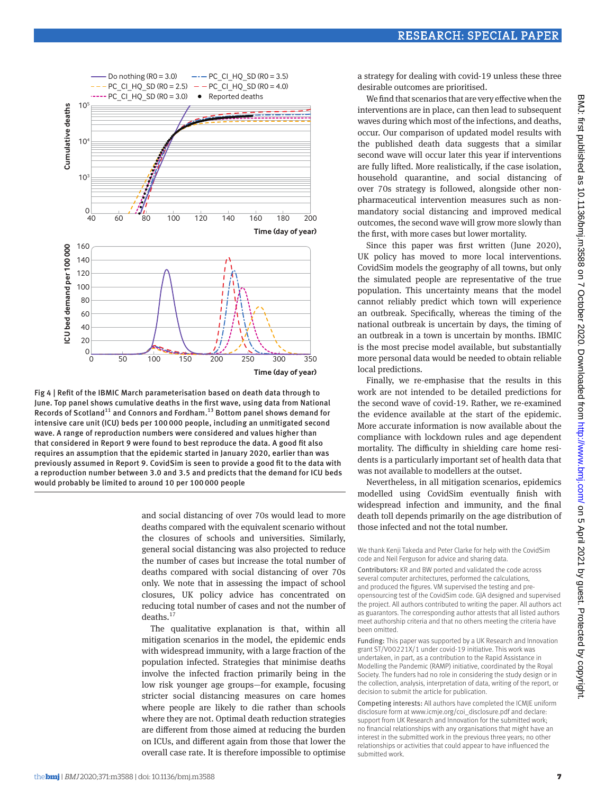



and social distancing of over 70s would lead to more deaths compared with the equivalent scenario without the closures of schools and universities. Similarly, general social distancing was also projected to reduce the number of cases but increase the total number of deaths compared with social distancing of over 70s only. We note that in assessing the impact of school closures, UK policy advice has concentrated on reducing total number of cases and not the number of  $deaths.<sup>17</sup>$ 

The qualitative explanation is that, within all mitigation scenarios in the model, the epidemic ends with widespread immunity, with a large fraction of the population infected. Strategies that minimise deaths involve the infected fraction primarily being in the low risk younger age groups—for example, focusing stricter social distancing measures on care homes where people are likely to die rather than schools where they are not. Optimal death reduction strategies are different from those aimed at reducing the burden on ICUs, and different again from those that lower the overall case rate. It is therefore impossible to optimise

a strategy for dealing with covid-19 unless these three desirable outcomes are prioritised.

We find that scenarios that are very effective when the interventions are in place, can then lead to subsequent waves during which most of the infections, and deaths, occur. Our comparison of updated model results with the published death data suggests that a similar second wave will occur later this year if interventions are fully lifted. More realistically, if the case isolation, household quarantine, and social distancing of over 70s strategy is followed, alongside other nonpharmaceutical intervention measures such as nonmandatory social distancing and improved medical outcomes, the second wave will grow more slowly than the first, with more cases but lower mortality.

Since this paper was first written (June 2020), UK policy has moved to more local interventions. CovidSim models the geography of all towns, but only the simulated people are representative of the true population. This uncertainty means that the model cannot reliably predict which town will experience an outbreak. Specifically, whereas the timing of the national outbreak is uncertain by days, the timing of an outbreak in a town is uncertain by months. IBMIC is the most precise model available, but substantially more personal data would be needed to obtain reliable local predictions.

Finally, we re-emphasise that the results in this work are not intended to be detailed predictions for the second wave of covid-19. Rather, we re-examined the evidence available at the start of the epidemic. More accurate information is now available about the compliance with lockdown rules and age dependent mortality. The difficulty in shielding care home residents is a particularly important set of health data that was not available to modellers at the outset.

Nevertheless, in all mitigation scenarios, epidemics modelled using CovidSim eventually finish with widespread infection and immunity, and the final death toll depends primarily on the age distribution of those infected and not the total number.

We thank Kenji Takeda and Peter Clarke for help with the CovidSim code and Neil Ferguson for advice and sharing data.

Contributors: KR and BW ported and validated the code across several computer architectures, performed the calculations, and produced the figures. VM supervised the testing and preopensourcing test of the CovidSim code. GJA designed and supervised the project. All authors contributed to writing the paper. All authors act as guarantors. The corresponding author attests that all listed authors meet authorship criteria and that no others meeting the criteria have been omitted.

Funding: This paper was supported by a UK Research and Innovation grant ST/V00221X/1 under covid-19 initiative. This work was undertaken, in part, as a contribution to the Rapid Assistance in Modelling the Pandemic (RAMP) initiative, coordinated by the Royal Society. The funders had no role in considering the study design or in the collection, analysis, interpretation of data, writing of the report, or decision to submit the article for publication.

Competing interests: All authors have completed the ICMJE uniform disclosure form at [www.icmje.org/coi\\_disclosure.pdf](http://www.icmje.org/coi_disclosure.pdf) and declare: support from UK Research and Innovation for the submitted work; no financial relationships with any organisations that might have an interest in the submitted work in the previous three years; no other relationships or activities that could appear to have influenced the submitted work.